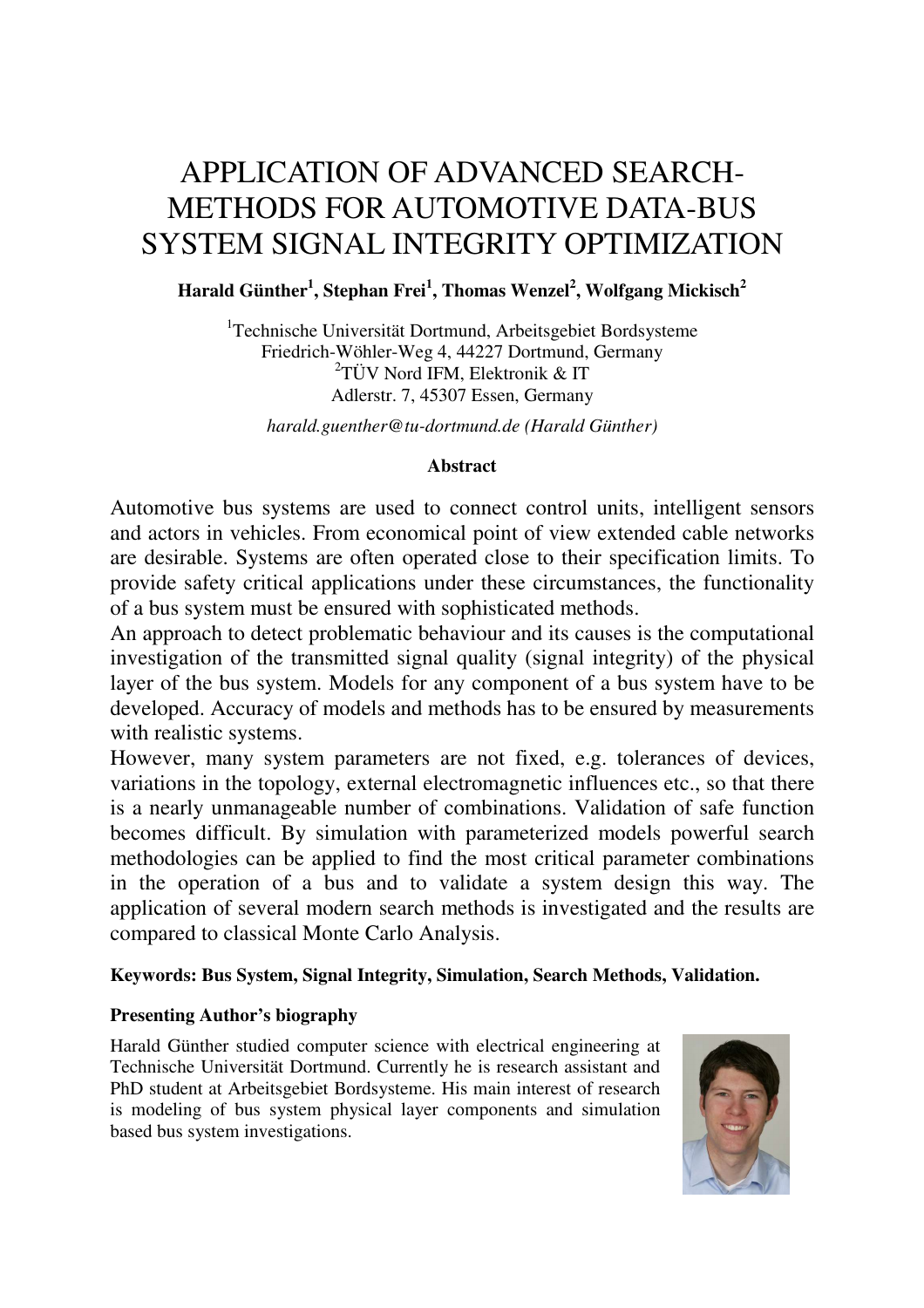# APPLICATION OF ADVANCED SEARCH-METHODS FOR AUTOMOTIVE DATA-BUS SYSTEM SIGNAL INTEGRITY OPTIMIZATION

# **Harald Günther<sup>1</sup> , Stephan Frei<sup>1</sup> , Thomas Wenzel<sup>2</sup> , Wolfgang Mickisch<sup>2</sup>**

<sup>1</sup>Technische Universität Dortmund, Arbeitsgebiet Bordsysteme Friedrich-Wöhler-Weg 4, 44227 Dortmund, Germany 2 TÜV Nord IFM, Elektronik & IT Adlerstr. 7, 45307 Essen, Germany

*harald.guenther@tu-dortmund.de (Harald Günther)* 

# **Abstract**

Automotive bus systems are used to connect control units, intelligent sensors and actors in vehicles. From economical point of view extended cable networks are desirable. Systems are often operated close to their specification limits. To provide safety critical applications under these circumstances, the functionality of a bus system must be ensured with sophisticated methods.

An approach to detect problematic behaviour and its causes is the computational investigation of the transmitted signal quality (signal integrity) of the physical layer of the bus system. Models for any component of a bus system have to be developed. Accuracy of models and methods has to be ensured by measurements with realistic systems.

However, many system parameters are not fixed, e.g. tolerances of devices, variations in the topology, external electromagnetic influences etc., so that there is a nearly unmanageable number of combinations. Validation of safe function becomes difficult. By simulation with parameterized models powerful search methodologies can be applied to find the most critical parameter combinations in the operation of a bus and to validate a system design this way. The application of several modern search methods is investigated and the results are compared to classical Monte Carlo Analysis.

# **Keywords: Bus System, Signal Integrity, Simulation, Search Methods, Validation.**

# **Presenting Author's biography**

Harald Günther studied computer science with electrical engineering at Technische Universität Dortmund. Currently he is research assistant and PhD student at Arbeitsgebiet Bordsysteme. His main interest of research is modeling of bus system physical layer components and simulation based bus system investigations.

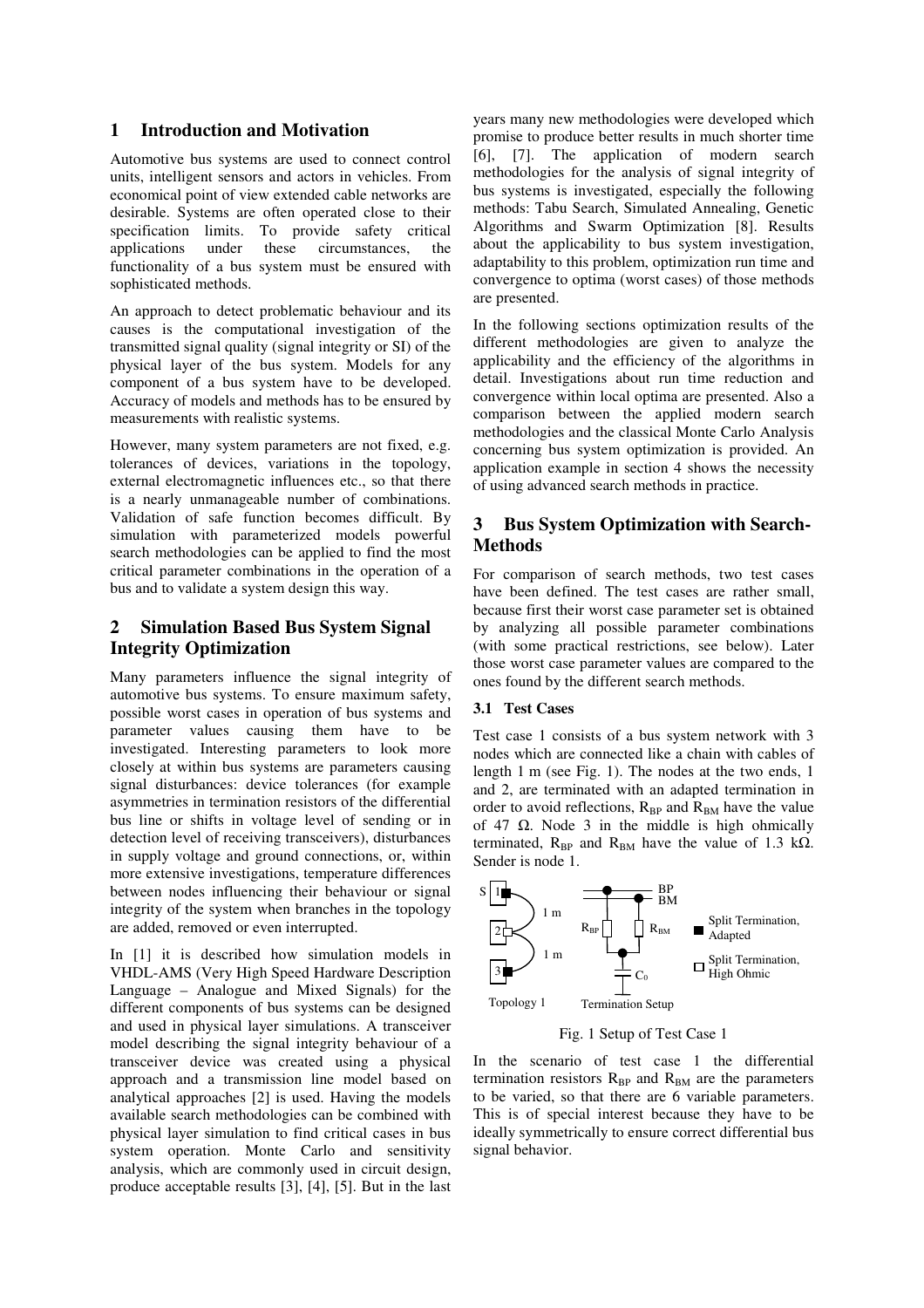### **1 Introduction and Motivation**

Automotive bus systems are used to connect control units, intelligent sensors and actors in vehicles. From economical point of view extended cable networks are desirable. Systems are often operated close to their specification limits. To provide safety critical applications under these circumstances, the functionality of a bus system must be ensured with sophisticated methods.

An approach to detect problematic behaviour and its causes is the computational investigation of the transmitted signal quality (signal integrity or SI) of the physical layer of the bus system. Models for any component of a bus system have to be developed. Accuracy of models and methods has to be ensured by measurements with realistic systems.

However, many system parameters are not fixed, e.g. tolerances of devices, variations in the topology, external electromagnetic influences etc., so that there is a nearly unmanageable number of combinations. Validation of safe function becomes difficult. By simulation with parameterized models powerful search methodologies can be applied to find the most critical parameter combinations in the operation of a bus and to validate a system design this way.

## **2 Simulation Based Bus System Signal Integrity Optimization**

Many parameters influence the signal integrity of automotive bus systems. To ensure maximum safety, possible worst cases in operation of bus systems and parameter values causing them have to be investigated. Interesting parameters to look more closely at within bus systems are parameters causing signal disturbances: device tolerances (for example asymmetries in termination resistors of the differential bus line or shifts in voltage level of sending or in detection level of receiving transceivers), disturbances in supply voltage and ground connections, or, within more extensive investigations, temperature differences between nodes influencing their behaviour or signal integrity of the system when branches in the topology are added, removed or even interrupted.

In [1] it is described how simulation models in VHDL-AMS (Very High Speed Hardware Description Language – Analogue and Mixed Signals) for the different components of bus systems can be designed and used in physical layer simulations. A transceiver model describing the signal integrity behaviour of a transceiver device was created using a physical approach and a transmission line model based on analytical approaches [2] is used. Having the models available search methodologies can be combined with physical layer simulation to find critical cases in bus system operation. Monte Carlo and sensitivity analysis, which are commonly used in circuit design, produce acceptable results [3], [4], [5]. But in the last

years many new methodologies were developed which promise to produce better results in much shorter time [6], [7]. The application of modern search methodologies for the analysis of signal integrity of bus systems is investigated, especially the following methods: Tabu Search, Simulated Annealing, Genetic Algorithms and Swarm Optimization [8]. Results about the applicability to bus system investigation, adaptability to this problem, optimization run time and convergence to optima (worst cases) of those methods are presented.

In the following sections optimization results of the different methodologies are given to analyze the applicability and the efficiency of the algorithms in detail. Investigations about run time reduction and convergence within local optima are presented. Also a comparison between the applied modern search methodologies and the classical Monte Carlo Analysis concerning bus system optimization is provided. An application example in section 4 shows the necessity of using advanced search methods in practice.

## **3 Bus System Optimization with Search-Methods**

For comparison of search methods, two test cases have been defined. The test cases are rather small, because first their worst case parameter set is obtained by analyzing all possible parameter combinations (with some practical restrictions, see below). Later those worst case parameter values are compared to the ones found by the different search methods.

#### **3.1 Test Cases**

Test case 1 consists of a bus system network with 3 nodes which are connected like a chain with cables of length 1 m (see Fig. 1). The nodes at the two ends, 1 and 2, are terminated with an adapted termination in order to avoid reflections,  $R_{BP}$  and  $R_{BM}$  have the value of 47  $\Omega$ . Node 3 in the middle is high ohmically terminated,  $R_{BP}$  and  $R_{BM}$  have the value of 1.3 kΩ. Sender is node 1.



Fig. 1 Setup of Test Case 1

In the scenario of test case 1 the differential termination resistors  $R_{BP}$  and  $R_{BM}$  are the parameters to be varied, so that there are 6 variable parameters. This is of special interest because they have to be ideally symmetrically to ensure correct differential bus signal behavior.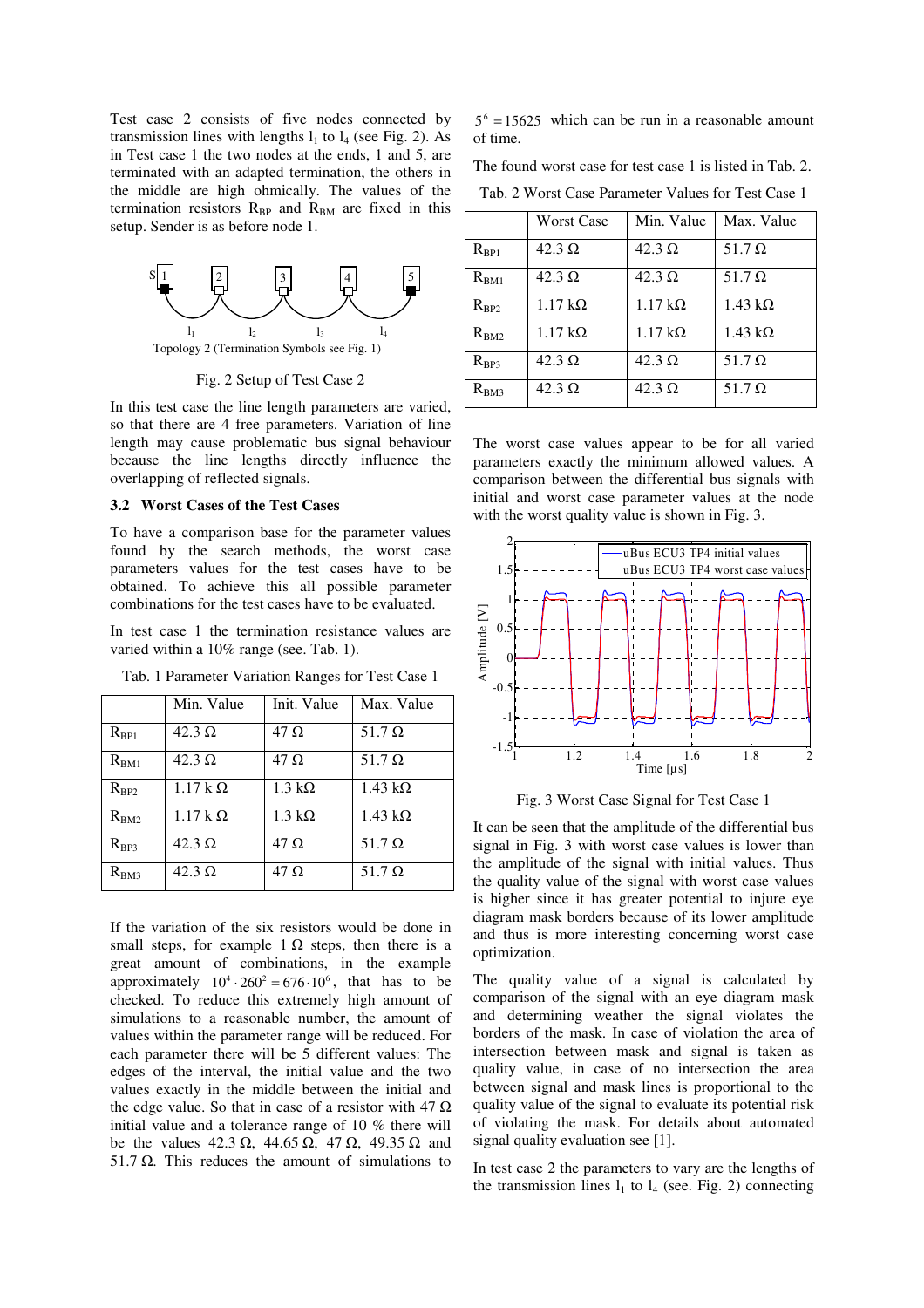Test case 2 consists of five nodes connected by transmission lines with lengths  $l_1$  to  $l_4$  (see Fig. 2). As in Test case 1 the two nodes at the ends, 1 and 5, are terminated with an adapted termination, the others in the middle are high ohmically. The values of the termination resistors  $R_{BP}$  and  $R_{BM}$  are fixed in this setup. Sender is as before node 1.



Fig. 2 Setup of Test Case 2

In this test case the line length parameters are varied, so that there are 4 free parameters. Variation of line length may cause problematic bus signal behaviour because the line lengths directly influence the overlapping of reflected signals.

#### **3.2 Worst Cases of the Test Cases**

To have a comparison base for the parameter values found by the search methods, the worst case parameters values for the test cases have to be obtained. To achieve this all possible parameter combinations for the test cases have to be evaluated.

In test case 1 the termination resistance values are varied within a 10% range (see. Tab. 1).

|           | Min. Value     | Init. Value           | Max. Value             |
|-----------|----------------|-----------------------|------------------------|
| $R_{BP1}$ | $42.3 \Omega$  | $47 \Omega$           | 51.7 $\Omega$          |
| $R_{BM1}$ | $42.3 \Omega$  | $47 \Omega$           | 51.7 $\Omega$          |
| $R_{BP2}$ | $1.17 k\Omega$ | $1.3 \text{ k}\Omega$ | $1.43 \text{ k}\Omega$ |
| $R_{BM2}$ | $1.17 k\Omega$ | $1.3 \text{ k}\Omega$ | $1.43 \text{ k}\Omega$ |
| $R_{BP3}$ | $42.3 \Omega$  | $47 \Omega$           | 51.7 $\Omega$          |
| $R_{BM3}$ | $42.3 \Omega$  | $47 \Omega$           | 51.7 $\Omega$          |

Tab. 1 Parameter Variation Ranges for Test Case 1

If the variation of the six resistors would be done in small steps, for example 1  $\Omega$  steps, then there is a great amount of combinations, in the example approximately  $10^4 \cdot 260^2 = 676 \cdot 10^6$ , that has to be checked. To reduce this extremely high amount of simulations to a reasonable number, the amount of values within the parameter range will be reduced. For each parameter there will be 5 different values: The edges of the interval, the initial value and the two values exactly in the middle between the initial and the edge value. So that in case of a resistor with 47  $\Omega$ initial value and a tolerance range of 10 % there will be the values 42.3  $\Omega$ , 44.65  $\Omega$ , 47  $\Omega$ , 49.35  $\Omega$  and 51.7  $Ω$ . This reduces the amount of simulations to

 $5^6$  = 15625 which can be run in a reasonable amount of time.

The found worst case for test case 1 is listed in Tab. 2.

Tab. 2 Worst Case Parameter Values for Test Case 1

|           | <b>Worst Case</b>      | Min. Value             | Max. Value     |
|-----------|------------------------|------------------------|----------------|
| $R_{BP1}$ | $42.3 \Omega$          | $42.3 \Omega$          | 51.7 $\Omega$  |
| $R_{BM1}$ | $42.3 \Omega$          | $42.3 \Omega$          | 51.7 $\Omega$  |
| $R_{BP2}$ | $1.17 \text{ k}\Omega$ | $1.17 \text{ k}\Omega$ | $1.43 k\Omega$ |
| $R_{BM2}$ | $1.17 \text{ k}\Omega$ | $1.17 k\Omega$         | $1.43 k\Omega$ |
| $R_{BP3}$ | $42.3 \Omega$          | $42.3 \Omega$          | 51.7 $\Omega$  |
| $R_{BM3}$ | $42.3 \Omega$          | $42.3 \Omega$          | 51.7 $\Omega$  |

The worst case values appear to be for all varied parameters exactly the minimum allowed values. A comparison between the differential bus signals with initial and worst case parameter values at the node with the worst quality value is shown in Fig. 3.



Fig. 3 Worst Case Signal for Test Case 1

It can be seen that the amplitude of the differential bus signal in Fig. 3 with worst case values is lower than the amplitude of the signal with initial values. Thus the quality value of the signal with worst case values is higher since it has greater potential to injure eye diagram mask borders because of its lower amplitude and thus is more interesting concerning worst case optimization.

The quality value of a signal is calculated by comparison of the signal with an eye diagram mask and determining weather the signal violates the borders of the mask. In case of violation the area of intersection between mask and signal is taken as quality value, in case of no intersection the area between signal and mask lines is proportional to the quality value of the signal to evaluate its potential risk of violating the mask. For details about automated signal quality evaluation see [1].

In test case 2 the parameters to vary are the lengths of the transmission lines  $l_1$  to  $l_4$  (see. Fig. 2) connecting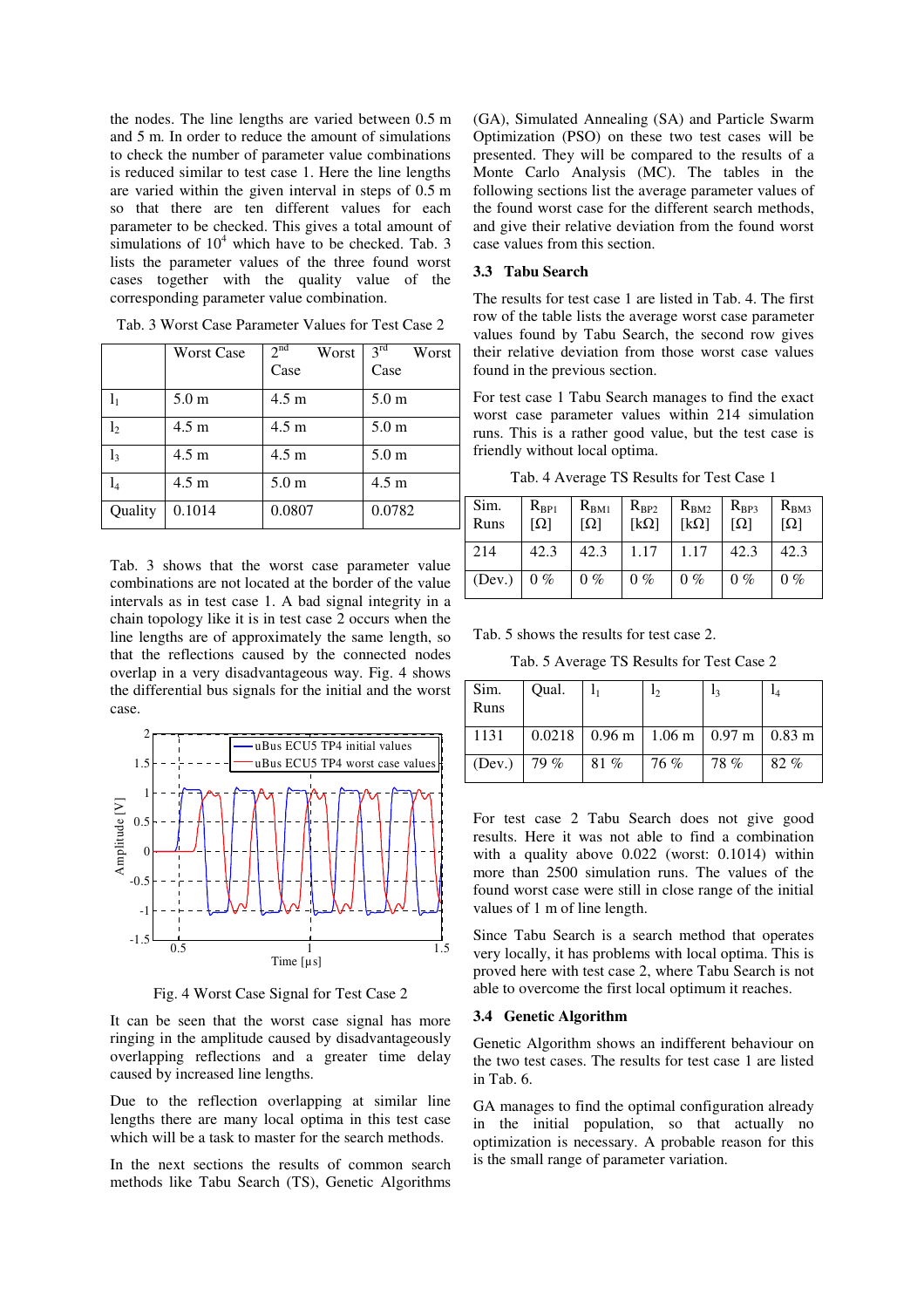the nodes. The line lengths are varied between 0.5 m and 5 m. In order to reduce the amount of simulations to check the number of parameter value combinations is reduced similar to test case 1. Here the line lengths are varied within the given interval in steps of 0.5 m so that there are ten different values for each parameter to be checked. This gives a total amount of simulations of  $10<sup>4</sup>$  which have to be checked. Tab. 3 lists the parameter values of the three found worst cases together with the quality value of the corresponding parameter value combination.

|                | <b>Worst Case</b> | 2 <sup>nd</sup><br>Worst | $3^{\overline{\text{rd}}}$<br>Worst |
|----------------|-------------------|--------------------------|-------------------------------------|
|                |                   | Case                     | Case                                |
| $l_1$          | 5.0 <sub>m</sub>  | $4.5 \text{ m}$          | 5.0 <sub>m</sub>                    |
| l <sub>2</sub> | $4.5 \text{ m}$   | $4.5 \text{ m}$          | 5.0 <sub>m</sub>                    |
| $l_3$          | 4.5 m             | $4.5 \text{ m}$          | 5.0 <sub>m</sub>                    |
| $l_{4}$        | 4.5 <sub>m</sub>  | 5.0 <sub>m</sub>         | $4.5 \text{ m}$                     |
| Quality        | 0.1014            | 0.0807                   | 0.0782                              |

Tab. 3 Worst Case Parameter Values for Test Case 2

Tab. 3 shows that the worst case parameter value combinations are not located at the border of the value intervals as in test case 1. A bad signal integrity in a chain topology like it is in test case 2 occurs when the line lengths are of approximately the same length, so that the reflections caused by the connected nodes overlap in a very disadvantageous way. Fig. 4 shows the differential bus signals for the initial and the worst case.



Fig. 4 Worst Case Signal for Test Case 2

It can be seen that the worst case signal has more ringing in the amplitude caused by disadvantageously overlapping reflections and a greater time delay caused by increased line lengths.

Due to the reflection overlapping at similar line lengths there are many local optima in this test case which will be a task to master for the search methods.

In the next sections the results of common search methods like Tabu Search (TS), Genetic Algorithms (GA), Simulated Annealing (SA) and Particle Swarm Optimization (PSO) on these two test cases will be presented. They will be compared to the results of a Monte Carlo Analysis (MC). The tables in the following sections list the average parameter values of the found worst case for the different search methods, and give their relative deviation from the found worst case values from this section.

## **3.3 Tabu Search**

The results for test case 1 are listed in Tab. 4. The first row of the table lists the average worst case parameter values found by Tabu Search, the second row gives their relative deviation from those worst case values found in the previous section.

For test case 1 Tabu Search manages to find the exact worst case parameter values within 214 simulation runs. This is a rather good value, but the test case is friendly without local optima.

Tab. 4 Average TS Results for Test Case 1

| Sim.<br>Runs | $R_{BP1}$<br>$[\Omega]$ | $R_{BM1}$<br>$[\Omega]$ | $R_{BP2}$<br>$[k\Omega]$ | $R_{BM2}$<br>$[k\Omega]$ | $R_{BP3}$<br>$[\Omega]$ | $R_{BM3}$<br>וΩן |
|--------------|-------------------------|-------------------------|--------------------------|--------------------------|-------------------------|------------------|
| 214          | 42.3                    | 42.3                    | 1.17                     | 1.17                     | 42.3                    | 42.3             |
| (Dev.)       | $0\%$                   | $0\%$                   | $0\%$                    | $0\%$                    | $0\%$                   | $0\%$            |

Tab. 5 shows the results for test case 2.

Tab. 5 Average TS Results for Test Case 2

| Sim.<br>Runs | Qual. | $\mathbf{I}_1$ | 12                                           | 13  |     |
|--------------|-------|----------------|----------------------------------------------|-----|-----|
| 1131         |       |                | $0.0218$   0.96 m   1.06 m   0.97 m   0.83 m |     |     |
| (Dev.)       | 79 %  | 81%            | 76 %                                         | 78% | 82% |

For test case 2 Tabu Search does not give good results. Here it was not able to find a combination with a quality above 0.022 (worst: 0.1014) within more than 2500 simulation runs. The values of the found worst case were still in close range of the initial values of 1 m of line length.

Since Tabu Search is a search method that operates very locally, it has problems with local optima. This is proved here with test case 2, where Tabu Search is not able to overcome the first local optimum it reaches.

#### **3.4 Genetic Algorithm**

Genetic Algorithm shows an indifferent behaviour on the two test cases. The results for test case 1 are listed in Tab. 6.

GA manages to find the optimal configuration already in the initial population, so that actually no optimization is necessary. A probable reason for this is the small range of parameter variation.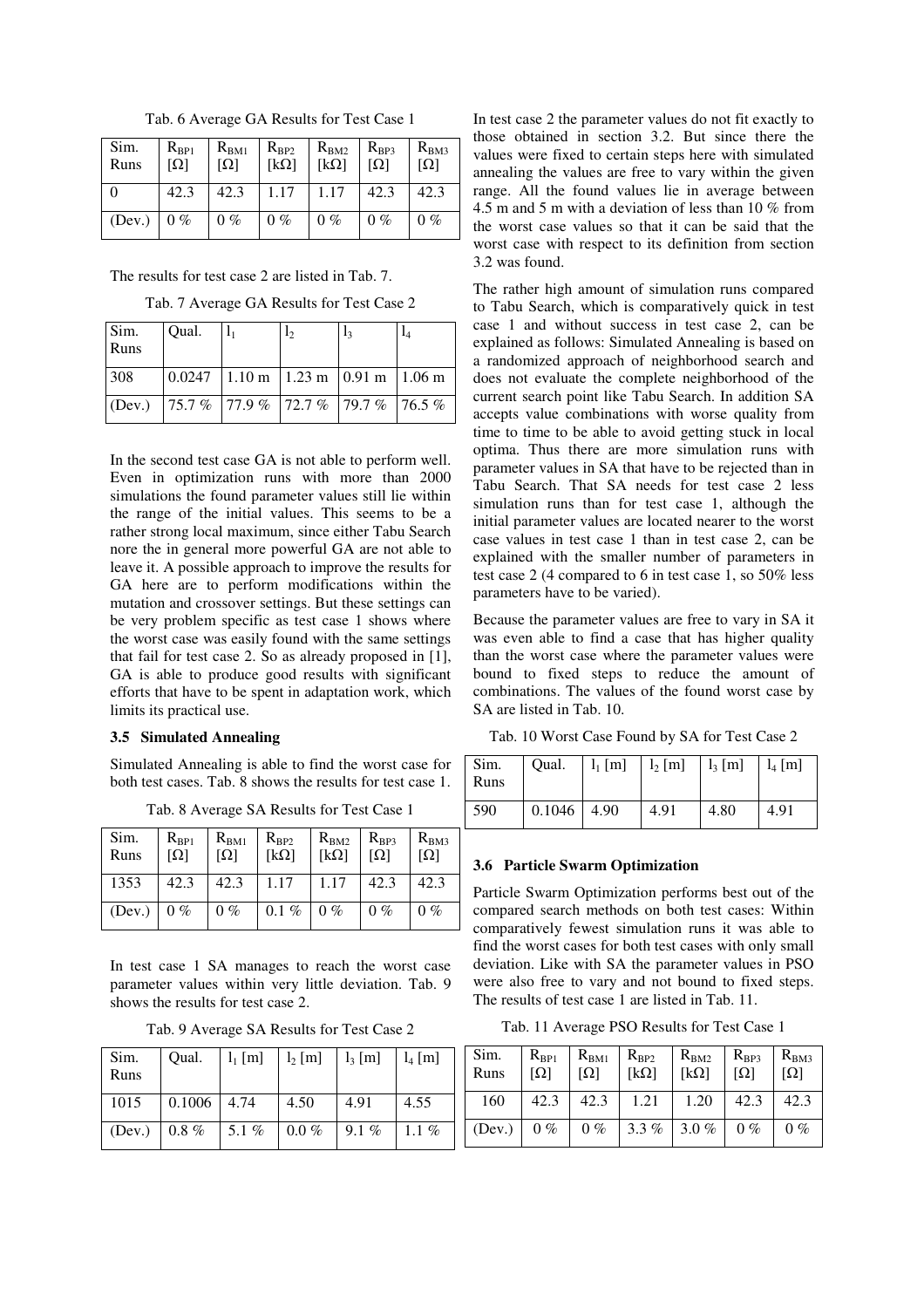| Sim.<br>Runs | $R_{BP1}$<br>$[\Omega]$ | $R_{BM1}$<br>$[\Omega]$ | $R_{BP2}$<br>$[k\Omega]$ | $R_{BM2}$<br>$[k\Omega]$ | $R_{BP3}$<br>$[\Omega]$ | $R_{BM3}$<br>$[\Omega]$ |
|--------------|-------------------------|-------------------------|--------------------------|--------------------------|-------------------------|-------------------------|
|              | 42.3                    | 42.3                    | 1.17                     | 1.17                     | 42.3                    | 42.3                    |
| (Dev.)       | $0\%$                   | $0\%$                   | $0\%$                    | $0\%$                    | $0\%$                   | $0\%$                   |

Tab. 6 Average GA Results for Test Case 1

The results for test case 2 are listed in Tab. 7.

Tab. 7 Average GA Results for Test Case 2

| Sim.<br>Runs | Oual.                                                                                              | 12 | 13 |  |
|--------------|----------------------------------------------------------------------------------------------------|----|----|--|
| 308          | $\vert 0.0247 \vert 1.10 \text{ m} \vert 1.23 \text{ m} \vert 0.91 \text{ m} \vert 1.06 \text{ m}$ |    |    |  |
|              | (Dev.) 75.7 % 77.9 % 72.7 % 79.7 % 76.5 %                                                          |    |    |  |

In the second test case GA is not able to perform well. Even in optimization runs with more than 2000 simulations the found parameter values still lie within the range of the initial values. This seems to be a rather strong local maximum, since either Tabu Search nore the in general more powerful GA are not able to leave it. A possible approach to improve the results for GA here are to perform modifications within the mutation and crossover settings. But these settings can be very problem specific as test case 1 shows where the worst case was easily found with the same settings that fail for test case 2. So as already proposed in [1], GA is able to produce good results with significant efforts that have to be spent in adaptation work, which limits its practical use.

#### **3.5 Simulated Annealing**

Simulated Annealing is able to find the worst case for both test cases. Tab. 8 shows the results for test case 1.

Tab. 8 Average SA Results for Test Case 1

| Sim.<br>Runs | $R_{BP1}$<br>$[\Omega]$ | $R_{BM1}$<br>$[\Omega]$ | $R_{BP2}$<br>$[k\Omega]$ | $R_{BM2}$<br>[ $k\Omega$ ] | $R_{BP3}$<br>$[\Omega]$ | $R_{BM3}$<br>וΩן |
|--------------|-------------------------|-------------------------|--------------------------|----------------------------|-------------------------|------------------|
| 1353         | 42.3                    | 42.3                    | $1.17$   1.17   42.3     |                            |                         | 42.3             |
| (Dev.)       | $0\%$                   | $0\%$                   | $0.1\%$ 0%               |                            | $0\%$                   | $0\%$            |

In test case 1 SA manages to reach the worst case parameter values within very little deviation. Tab. 9 shows the results for test case 2.

| Tab. 9 Average SA Results for Test Case 2 |
|-------------------------------------------|
|-------------------------------------------|

| Sim.<br>Runs | Qual.         | $l_1$ [m] | $l_2$ [m] | $l_3$ [m] | $l_4$ [m] |
|--------------|---------------|-----------|-----------|-----------|-----------|
| 1015         | $0.1006$ 4.74 |           | 4.50      | 4.91      | 4.55      |
| (Dev.)       | $0.8\ \%$     | 5.1%      | $0.0\%$   | 9.1 %     | $1.1\%$   |

In test case 2 the parameter values do not fit exactly to those obtained in section 3.2. But since there the values were fixed to certain steps here with simulated annealing the values are free to vary within the given range. All the found values lie in average between 4.5 m and 5 m with a deviation of less than 10 % from the worst case values so that it can be said that the worst case with respect to its definition from section 3.2 was found.

The rather high amount of simulation runs compared to Tabu Search, which is comparatively quick in test case 1 and without success in test case 2, can be explained as follows: Simulated Annealing is based on a randomized approach of neighborhood search and does not evaluate the complete neighborhood of the current search point like Tabu Search. In addition SA accepts value combinations with worse quality from time to time to be able to avoid getting stuck in local optima. Thus there are more simulation runs with parameter values in SA that have to be rejected than in Tabu Search. That SA needs for test case 2 less simulation runs than for test case 1, although the initial parameter values are located nearer to the worst case values in test case 1 than in test case 2, can be explained with the smaller number of parameters in test case 2 (4 compared to 6 in test case 1, so 50% less parameters have to be varied).

Because the parameter values are free to vary in SA it was even able to find a case that has higher quality than the worst case where the parameter values were bound to fixed steps to reduce the amount of combinations. The values of the found worst case by SA are listed in Tab. 10.

Tab. 10 Worst Case Found by SA for Test Case 2

| Sim.<br>Runs | Qual. $1_1$ [m] $1_2$ [m] $1_3$ [m] $1_4$ [m] |      |      |      |
|--------------|-----------------------------------------------|------|------|------|
| 590          | 0.1046 4.90                                   | 4.91 | 4.80 | 4.91 |

## **3.6 Particle Swarm Optimization**

Particle Swarm Optimization performs best out of the compared search methods on both test cases: Within comparatively fewest simulation runs it was able to find the worst cases for both test cases with only small deviation. Like with SA the parameter values in PSO were also free to vary and not bound to fixed steps. The results of test case 1 are listed in Tab. 11.

Tab. 11 Average PSO Results for Test Case 1

| Sim.<br>Runs | $R_{BP1}$<br>$[\Omega]$ | $R_{BM1}$<br>$[\Omega]$ | $R_{BP2}$<br>$[k\Omega]$ | $R_{BM2}$<br>$[k\Omega]$                                                                 | $R_{BP3}$<br>$[\Omega]$ | $R_{BM3}$<br>$[\Omega]$ |
|--------------|-------------------------|-------------------------|--------------------------|------------------------------------------------------------------------------------------|-------------------------|-------------------------|
| 160          |                         |                         | $42.3$   $42.3$   1.21   | 1.20                                                                                     | 42.3                    | 42.3                    |
| (Dev.)       | $0\%$                   |                         |                          | $\begin{array}{ c c c c c c c c c } \hline 0\% & 3.3\% & 3.0\% & 0\% \hline \end{array}$ |                         | $0\%$                   |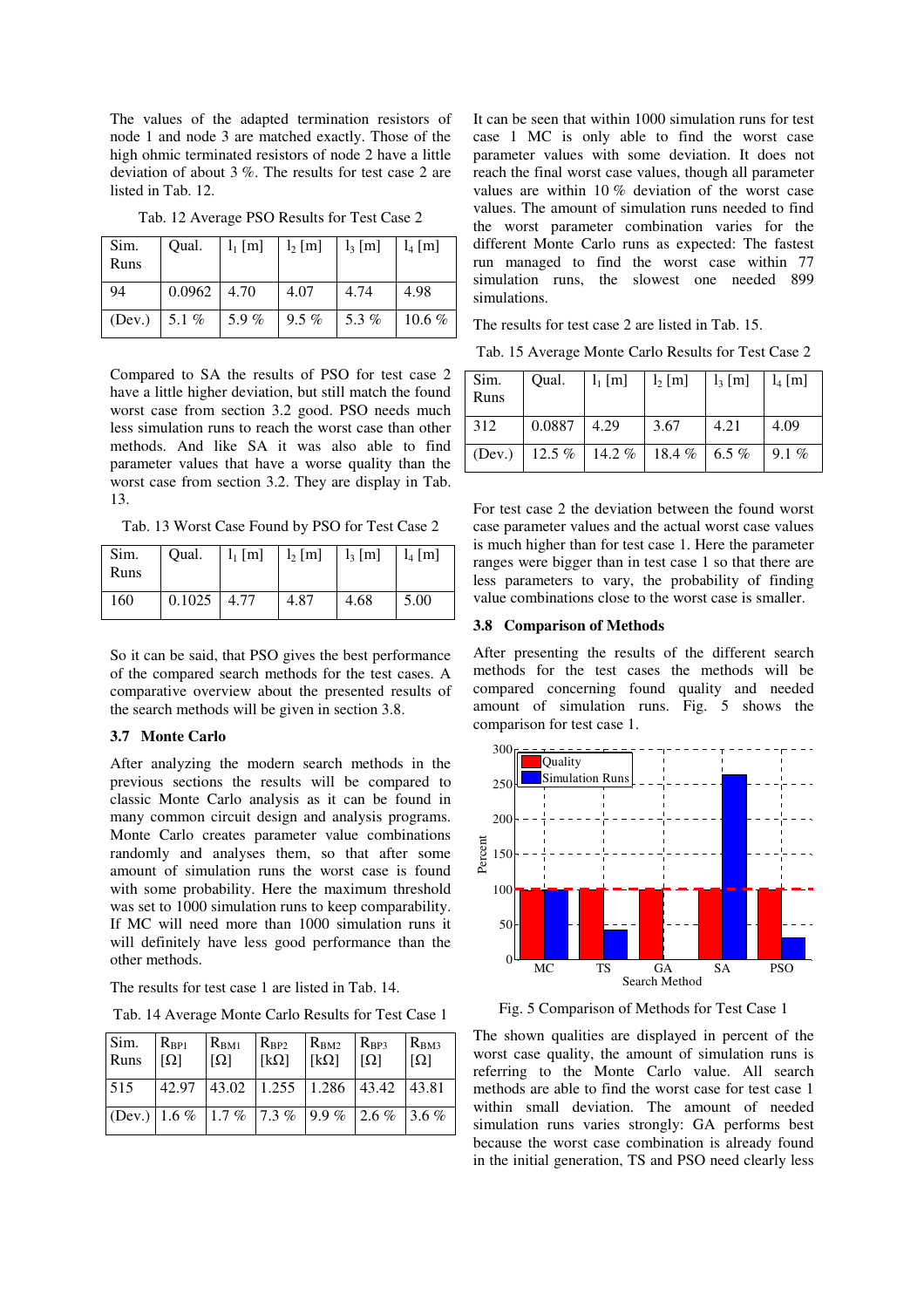The values of the adapted termination resistors of node 1 and node 3 are matched exactly. Those of the high ohmic terminated resistors of node 2 have a little deviation of about 3 %. The results for test case 2 are listed in Tab. 12.

| Sim.<br>Runs | Oual.           | $l_1$ [m] | $l_2$ [m] | $l_3$ [m] | $l_4$ [m] |
|--------------|-----------------|-----------|-----------|-----------|-----------|
| 94           | $0.0962$   4.70 |           | 4.07      | 4.74      | 4.98      |
| (Dev.)       | 5.1 $%$         | 5.9%      | $9.5 \%$  | 5.3%      | $10.6\%$  |

Tab. 12 Average PSO Results for Test Case 2

Compared to SA the results of PSO for test case 2 have a little higher deviation, but still match the found worst case from section 3.2 good. PSO needs much less simulation runs to reach the worst case than other methods. And like SA it was also able to find parameter values that have a worse quality than the worst case from section 3.2. They are display in Tab. 13.

Tab. 13 Worst Case Found by PSO for Test Case 2

| Sim.<br>  Runs | Oual.         | $1_1 \text{ [m]}$ $1_2 \text{ [m]}$ $1_3 \text{ [m]}$ $1_4 \text{ [m]}$ |      |      |
|----------------|---------------|-------------------------------------------------------------------------|------|------|
| <sup>160</sup> | $0.1025$ 4.77 | 4.87                                                                    | 4.68 | 5.00 |

So it can be said, that PSO gives the best performance of the compared search methods for the test cases. A comparative overview about the presented results of the search methods will be given in section 3.8.

#### **3.7 Monte Carlo**

After analyzing the modern search methods in the previous sections the results will be compared to classic Monte Carlo analysis as it can be found in many common circuit design and analysis programs. Monte Carlo creates parameter value combinations randomly and analyses them, so that after some amount of simulation runs the worst case is found with some probability. Here the maximum threshold was set to 1000 simulation runs to keep comparability. If MC will need more than 1000 simulation runs it will definitely have less good performance than the other methods.

The results for test case 1 are listed in Tab. 14.

Tab. 14 Average Monte Carlo Results for Test Case 1

| Sim.<br>Runs                                                                                                                                                     | $R_{BP1}$<br>$\lceil \Omega \rceil$ | $R_{BM1}$<br>$\lceil \Omega \rceil$          | $R_{BP2}$<br>$[k\Omega]$ | $R_{BM2}$<br>$\lceil k\Omega \rceil$ | $R_{BP3}$<br>$\Omega$ | $R_{BM3}$<br>$[\Omega]$ |
|------------------------------------------------------------------------------------------------------------------------------------------------------------------|-------------------------------------|----------------------------------------------|--------------------------|--------------------------------------|-----------------------|-------------------------|
| 515                                                                                                                                                              |                                     | 42.97  43.02   1.255   1.286   43.42   43.81 |                          |                                      |                       |                         |
| $\left( \text{Dev.} \right) \left[ 1.6 \% \right] \left[ 1.7 \% \right] \left[ 7.3 \% \right] \left[ 9.9 \% \right] \left[ 2.6 \% \right] \left[ 3.6 \% \right]$ |                                     |                                              |                          |                                      |                       |                         |

It can be seen that within 1000 simulation runs for test case 1 MC is only able to find the worst case parameter values with some deviation. It does not reach the final worst case values, though all parameter values are within 10 % deviation of the worst case values. The amount of simulation runs needed to find the worst parameter combination varies for the different Monte Carlo runs as expected: The fastest run managed to find the worst case within 77 simulation runs, the slowest one needed 899 simulations.

The results for test case 2 are listed in Tab. 15.

Tab. 15 Average Monte Carlo Results for Test Case 2

| Sim.<br>Runs | Qual.  | $l_1$ [m] | $l_2$ [m]                        | $l_3$ [m] | $\vert$ $l_4$ [m] |
|--------------|--------|-----------|----------------------------------|-----------|-------------------|
| 312          | 0.0887 | 4.29      | 3.67                             | 4.21      | 4.09              |
| (Dev.)       |        |           | 12.5 %   14.2 %   18.4 %   6.5 % |           | 9.1 %             |

For test case 2 the deviation between the found worst case parameter values and the actual worst case values is much higher than for test case 1. Here the parameter ranges were bigger than in test case 1 so that there are less parameters to vary, the probability of finding value combinations close to the worst case is smaller.

#### **3.8 Comparison of Methods**

After presenting the results of the different search methods for the test cases the methods will be compared concerning found quality and needed amount of simulation runs. Fig. 5 shows the comparison for test case 1.



Fig. 5 Comparison of Methods for Test Case 1

The shown qualities are displayed in percent of the worst case quality, the amount of simulation runs is referring to the Monte Carlo value. All search methods are able to find the worst case for test case 1 within small deviation. The amount of needed simulation runs varies strongly: GA performs best because the worst case combination is already found in the initial generation, TS and PSO need clearly less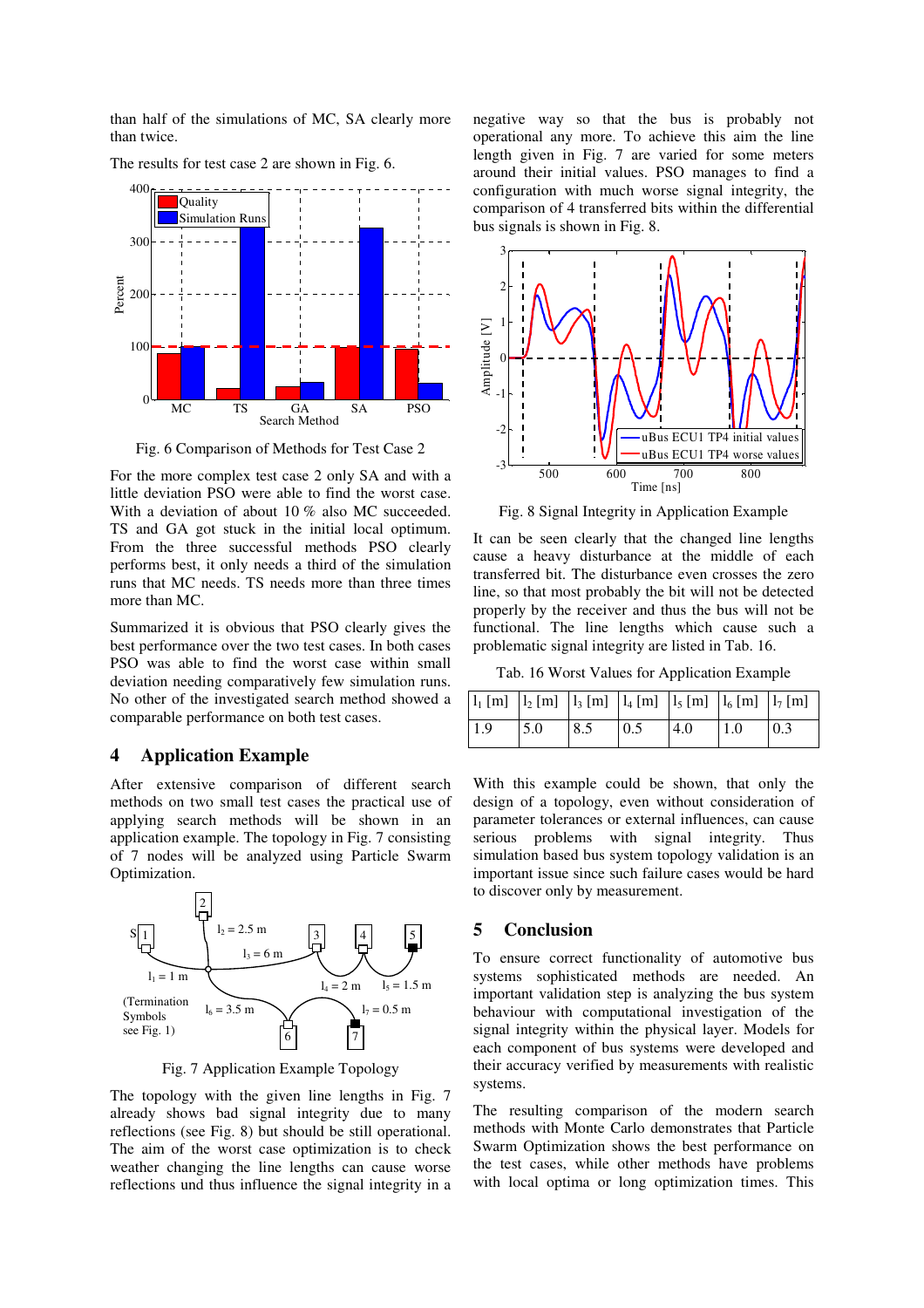than half of the simulations of MC, SA clearly more than twice.



The results for test case 2 are shown in Fig. 6.

Fig. 6 Comparison of Methods for Test Case 2

For the more complex test case 2 only SA and with a little deviation PSO were able to find the worst case. With a deviation of about 10 % also MC succeeded. TS and GA got stuck in the initial local optimum. From the three successful methods PSO clearly performs best, it only needs a third of the simulation runs that MC needs. TS needs more than three times more than MC.

Summarized it is obvious that PSO clearly gives the best performance over the two test cases. In both cases PSO was able to find the worst case within small deviation needing comparatively few simulation runs. No other of the investigated search method showed a comparable performance on both test cases.

#### **4 Application Example**

After extensive comparison of different search methods on two small test cases the practical use of applying search methods will be shown in an application example. The topology in Fig. 7 consisting of 7 nodes will be analyzed using Particle Swarm Optimization.



Fig. 7 Application Example Topology

The topology with the given line lengths in Fig. 7 already shows bad signal integrity due to many reflections (see Fig. 8) but should be still operational. The aim of the worst case optimization is to check weather changing the line lengths can cause worse reflections und thus influence the signal integrity in a negative way so that the bus is probably not operational any more. To achieve this aim the line length given in Fig. 7 are varied for some meters around their initial values. PSO manages to find a configuration with much worse signal integrity, the comparison of 4 transferred bits within the differential bus signals is shown in Fig. 8.



Fig. 8 Signal Integrity in Application Example

It can be seen clearly that the changed line lengths cause a heavy disturbance at the middle of each transferred bit. The disturbance even crosses the zero line, so that most probably the bit will not be detected properly by the receiver and thus the bus will not be functional. The line lengths which cause such a problematic signal integrity are listed in Tab. 16.

Tab. 16 Worst Values for Application Example

| $\boxed{l_1 \text{ [m]} \left  l_2 \text{ [m]} \right  l_3 \text{ [m]} \left  l_4 \text{ [m]} \right  l_5 \text{ [m]} \left  l_6 \text{ [m]} \right  l_7 \text{ [m]} \right }$ |     |     |                   |     |     |                   |
|--------------------------------------------------------------------------------------------------------------------------------------------------------------------------------|-----|-----|-------------------|-----|-----|-------------------|
| 1.9                                                                                                                                                                            | 5.0 | 8.5 | $\vert 0.5 \vert$ | 4.0 | 1.0 | $\vert 0.3 \vert$ |

With this example could be shown, that only the design of a topology, even without consideration of parameter tolerances or external influences, can cause serious problems with signal integrity. Thus simulation based bus system topology validation is an important issue since such failure cases would be hard to discover only by measurement.

## **5 Conclusion**

To ensure correct functionality of automotive bus systems sophisticated methods are needed. An important validation step is analyzing the bus system behaviour with computational investigation of the signal integrity within the physical layer. Models for each component of bus systems were developed and their accuracy verified by measurements with realistic systems.

The resulting comparison of the modern search methods with Monte Carlo demonstrates that Particle Swarm Optimization shows the best performance on the test cases, while other methods have problems with local optima or long optimization times. This